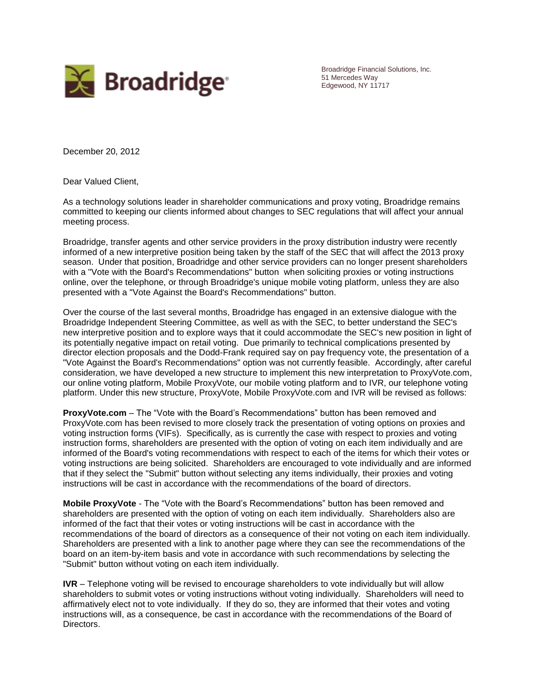

Broadridge Financial Solutions, Inc. 51 Mercedes Way Edgewood, NY 11717

December 20, 2012

Dear Valued Client,

As a technology solutions leader in shareholder communications and proxy voting, Broadridge remains committed to keeping our clients informed about changes to SEC regulations that will affect your annual meeting process.

Broadridge, transfer agents and other service providers in the proxy distribution industry were recently informed of a new interpretive position being taken by the staff of the SEC that will affect the 2013 proxy season. Under that position, Broadridge and other service providers can no longer present shareholders with a "Vote with the Board's Recommendations" button when soliciting proxies or voting instructions online, over the telephone, or through Broadridge's unique mobile voting platform, unless they are also presented with a "Vote Against the Board's Recommendations" button.

Over the course of the last several months, Broadridge has engaged in an extensive dialogue with the Broadridge Independent Steering Committee, as well as with the SEC, to better understand the SEC's new interpretive position and to explore ways that it could accommodate the SEC's new position in light of its potentially negative impact on retail voting. Due primarily to technical complications presented by director election proposals and the Dodd-Frank required say on pay frequency vote, the presentation of a "Vote Against the Board's Recommendations" option was not currently feasible. Accordingly, after careful consideration, we have developed a new structure to implement this new interpretation to ProxyVote.com, our online voting platform, Mobile ProxyVote, our mobile voting platform and to IVR, our telephone voting platform. Under this new structure, ProxyVote, Mobile ProxyVote.com and IVR will be revised as follows:

**ProxyVote.com** – The "Vote with the Board's Recommendations" button has been removed and ProxyVote.com has been revised to more closely track the presentation of voting options on proxies and voting instruction forms (VIFs). Specifically, as is currently the case with respect to proxies and voting instruction forms, shareholders are presented with the option of voting on each item individually and are informed of the Board's voting recommendations with respect to each of the items for which their votes or voting instructions are being solicited. Shareholders are encouraged to vote individually and are informed that if they select the "Submit" button without selecting any items individually, their proxies and voting instructions will be cast in accordance with the recommendations of the board of directors.

**Mobile ProxyVote** - The "Vote with the Board's Recommendations" button has been removed and shareholders are presented with the option of voting on each item individually. Shareholders also are informed of the fact that their votes or voting instructions will be cast in accordance with the recommendations of the board of directors as a consequence of their not voting on each item individually. Shareholders are presented with a link to another page where they can see the recommendations of the board on an item-by-item basis and vote in accordance with such recommendations by selecting the "Submit" button without voting on each item individually.

**IVR** – Telephone voting will be revised to encourage shareholders to vote individually but will allow shareholders to submit votes or voting instructions without voting individually. Shareholders will need to affirmatively elect not to vote individually. If they do so, they are informed that their votes and voting instructions will, as a consequence, be cast in accordance with the recommendations of the Board of Directors.